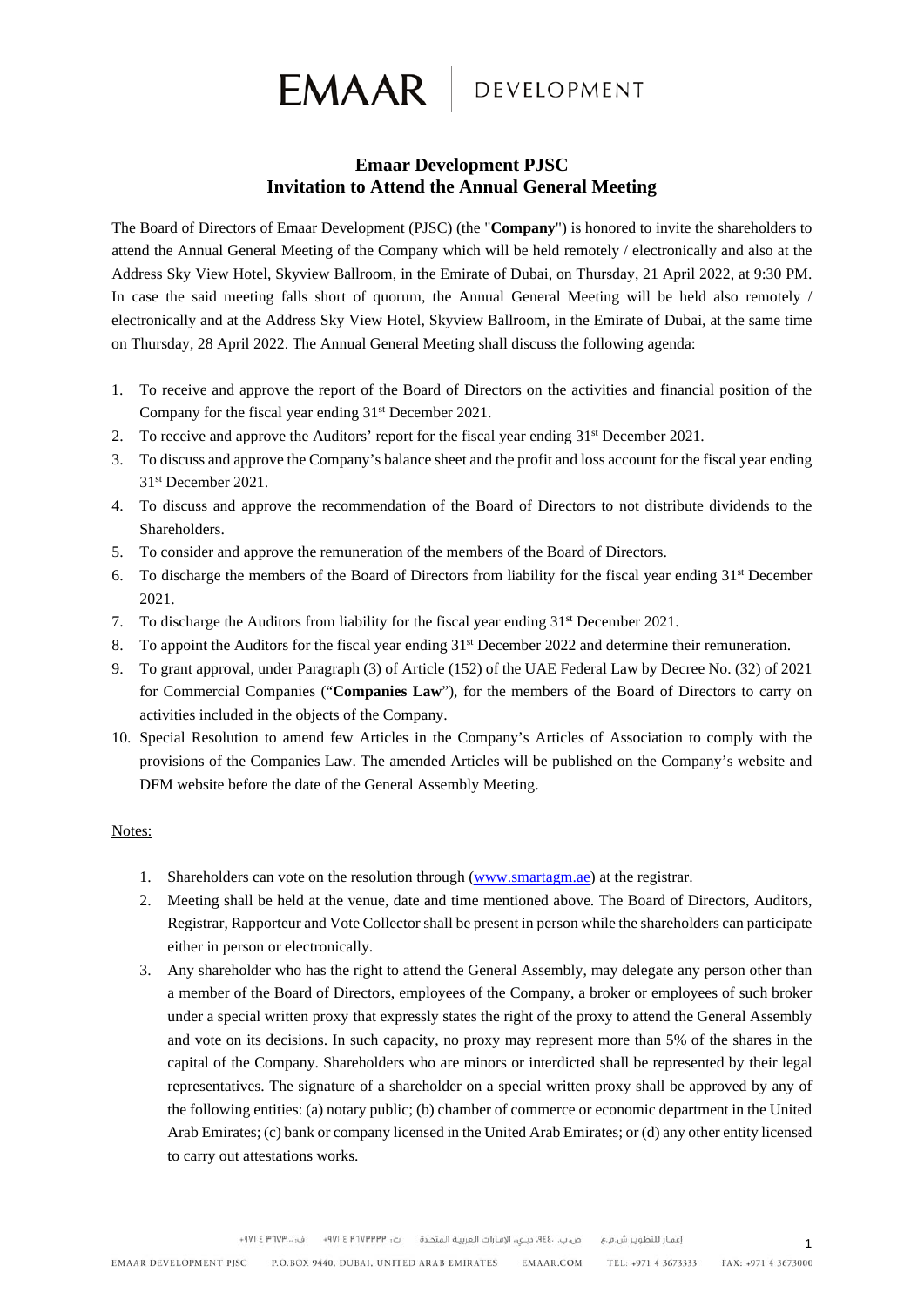

# **Emaar Development PJSC Invitation to Attend the Annual General Meeting**

The Board of Directors of Emaar Development (PJSC) (the "**Company**") is honored to invite the shareholders to attend the Annual General Meeting of the Company which will be held remotely / electronically and also at the Address Sky View Hotel, Skyview Ballroom, in the Emirate of Dubai, on Thursday, 21 April 2022, at 9:30 PM. In case the said meeting falls short of quorum, the Annual General Meeting will be held also remotely / electronically and at the Address Sky View Hotel, Skyview Ballroom, in the Emirate of Dubai, at the same time on Thursday, 28 April 2022. The Annual General Meeting shall discuss the following agenda:

- 1. To receive and approve the report of the Board of Directors on the activities and financial position of the Company for the fiscal year ending  $31<sup>st</sup>$  December 2021.
- 2. To receive and approve the Auditors' report for the fiscal year ending  $31<sup>st</sup>$  December 2021.
- 3. To discuss and approve the Company's balance sheet and the profit and loss account for the fiscal year ending 31st December 2021.
- 4. To discuss and approve the recommendation of the Board of Directors to not distribute dividends to the Shareholders.
- 5. To consider and approve the remuneration of the members of the Board of Directors.
- 6. To discharge the members of the Board of Directors from liability for the fiscal year ending  $31<sup>st</sup>$  December 2021.
- 7. To discharge the Auditors from liability for the fiscal year ending  $31<sup>st</sup>$  December 2021.
- 8. To appoint the Auditors for the fiscal year ending 31<sup>st</sup> December 2022 and determine their remuneration.
- 9. To grant approval, under Paragraph (3) of Article (152) of the UAE Federal Law by Decree No. (32) of 2021 for Commercial Companies ("**Companies Law**"), for the members of the Board of Directors to carry on activities included in the objects of the Company.
- 10. Special Resolution to amend few Articles in the Company's Articles of Association to comply with the provisions of the Companies Law. The amended Articles will be published on the Company's website and DFM website before the date of the General Assembly Meeting.

## Notes:

- 1. Shareholders can vote on the resolution through [\(www.smartagm.ae\)](http://www.smartagm.ae/) at the registrar.
- 2. Meeting shall be held at the venue, date and time mentioned above. The Board of Directors, Auditors, Registrar, Rapporteur and Vote Collector shall be present in person while the shareholders can participate either in person or electronically.
- 3. Any shareholder who has the right to attend the General Assembly, may delegate any person other than a member of the Board of Directors, employees of the Company, a broker or employees of such broker under a special written proxy that expressly states the right of the proxy to attend the General Assembly and vote on its decisions. In such capacity, no proxy may represent more than 5% of the shares in the capital of the Company. Shareholders who are minors or interdicted shall be represented by their legal representatives. The signature of a shareholder on a special written proxy shall be approved by any of the following entities: (a) notary public; (b) chamber of commerce or economic department in the United Arab Emirates; (c) bank or company licensed in the United Arab Emirates; or (d) any other entity licensed to carry out attestations works.